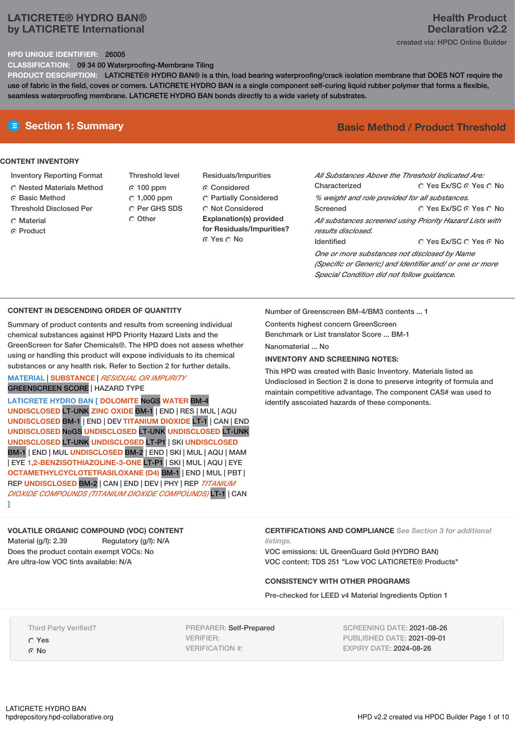# **LATICRETE® HYDRO BAN® by LATICRETE International**

## **Health Product Declaration v2.2** created via: HPDC Online Builder

### **HPD UNIQUE IDENTIFIER:** 26005

**CLASSIFICATION:** 09 34 00 Waterproofing-Membrane Tiling

**PRODUCT DESCRIPTION:** LATICRETE® HYDRO BAN® is a thin, load bearing waterproofing/crack isolation membrane that DOES NOT require the use of fabric in the field, coves or corners. LATICRETE HYDRO BAN is a single component self-curing liquid rubber polymer that forms a flexible, seamless waterproofing membrane. LATICRETE HYDRO BAN bonds directly to a wide variety of substrates.

## **CONTENT INVENTORY**

- Inventory Reporting Format
- Nested Materials Method
- Basic Method
- Threshold Disclosed Per
- Material
- ⊙ Product

Threshold level  $@100$  ppm  $\degree$  1,000 ppm C Per GHS SDS Residuals/Impurities Considered Partially Considered  $\bigcirc$  Not Considered **Explanation(s) provided for Residuals/Impurities?** © Yes ∩ No

# **E** Section 1: Summary **Basic Method / Product Threshold**

| All Substances Above the Threshold Indicated Are:<br>Characterized | ∩ Yes Ex/SC ∩ Yes ∩ No                                   |  |  |  |  |
|--------------------------------------------------------------------|----------------------------------------------------------|--|--|--|--|
| % weight and role provided for all substances.                     |                                                          |  |  |  |  |
| Screened                                                           | ∩ Yes Ex/SC ∩ Yes ∩ No                                   |  |  |  |  |
|                                                                    | All substances screened using Priority Hazard Lists with |  |  |  |  |
| results disclosed.                                                 |                                                          |  |  |  |  |
| <b>Identified</b>                                                  | ∩ Yes Ex/SC ∩ Yes ∩ No                                   |  |  |  |  |
| One or more substances not disclosed by Name                       |                                                          |  |  |  |  |
| (Specific or Generic) and Identifier and/ or one or more           |                                                          |  |  |  |  |
| Special Condition did not follow quidance.                         |                                                          |  |  |  |  |

### **CONTENT IN DESCENDING ORDER OF QUANTITY**

Summary of product contents and results from screening individual chemical substances against HPD Priority Hazard Lists and the GreenScreen for Safer Chemicals®. The HPD does not assess whether using or handling this product will expose individuals to its chemical substances or any health risk. Refer to Section 2 for further details.

C Other

### **MATERIAL** | **SUBSTANCE** | *RESIDUAL OR IMPURITY* GREENSCREEN SCORE | HAZARD TYPE

**LATICRETE HYDRO BAN [ DOLOMITE** NoGS **WATER** BM-4 **UNDISCLOSED** LT-UNK **ZINC OXIDE** BM-1 | END | RES | MUL | AQU **UNDISCLOSED** BM-1 | END | DEV **TITANIUM DIOXIDE** LT-1 | CAN | END **UNDISCLOSED** NoGS **UNDISCLOSED** LT-UNK **UNDISCLOSED** LT-UNK **UNDISCLOSED** LT-UNK **UNDISCLOSED** LT-P1 | SKI **UNDISCLOSED** BM-1 | END | MUL **UNDISCLOSED** BM-2 | END | SKI | MUL | AQU | MAM | EYE **1,2-BENZISOTHIAZOLINE-3-ONE** LT-P1 | SKI | MUL | AQU | EYE **OCTAMETHYLCYCLOTETRASILOXANE (D4)** BM-1 | END | MUL | PBT | REP **UNDISCLOSED** BM-2 | CAN | END | DEV | PHY | REP *TITANIUM DIOXIDE COMPOUNDS (TITANIUM DIOXIDE COMPOUNDS)* LT-1 | CAN **]**

Number of Greenscreen BM-4/BM3 contents ... 1

Contents highest concern GreenScreen

Benchmark or List translator Score ... BM-1

Nanomaterial ... No

## **INVENTORY AND SCREENING NOTES:**

This HPD was created with Basic Inventory. Materials listed as Undisclosed in Section 2 is done to preserve integrity of formula and maintain competitive advantage. The component CAS# was used to identify asscoiated hazards of these components.

**VOLATILE ORGANIC COMPOUND (VOC) CONTENT** Material (g/l): 2.39 Regulatory (g/l): N/A Does the product contain exempt VOCs: No Are ultra-low VOC tints available: N/A

**CERTIFICATIONS AND COMPLIANCE** *See Section 3 for additional listings.*

VOC emissions: UL GreenGuard Gold (HYDRO BAN) VOC content: TDS 251 "Low VOC LATICRETE® Products"

## **CONSISTENCY WITH OTHER PROGRAMS**

Pre-checked for LEED v4 Material Ingredients Option 1

Third Party Verified? Yes

© No

PREPARER: Self-Prepared VERIFIER: VERIFICATION #:

SCREENING DATE: 2021-08-26 PUBLISHED DATE: 2021-09-01 EXPIRY DATE: 2024-08-26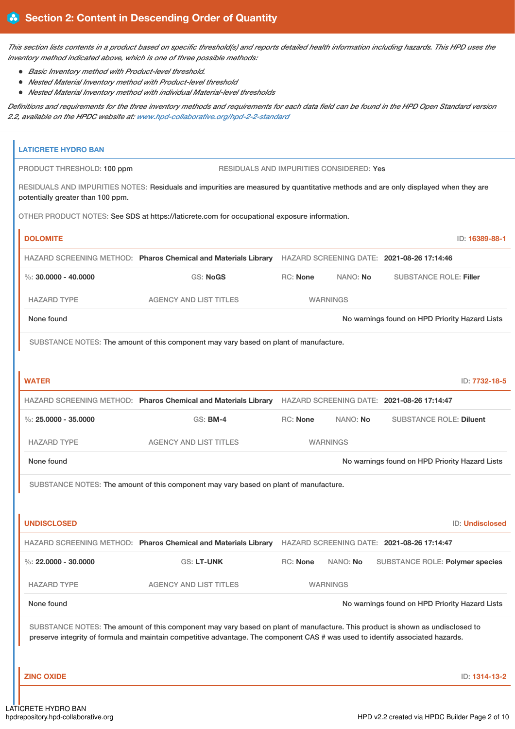This section lists contents in a product based on specific threshold(s) and reports detailed health information including hazards. This HPD uses the *inventory method indicated above, which is one of three possible methods:*

- *Basic Inventory method with Product-level threshold.*
- *Nested Material Inventory method with Product-level threshold*
- *Nested Material Inventory method with individual Material-level thresholds*

Definitions and requirements for the three inventory methods and requirements for each data field can be found in the HPD Open Standard version *2.2, available on the HPDC website at: [www.hpd-collaborative.org/hpd-2-2-standard](https://www.hpd-collaborative.org/hpd-2-2-standard)*

| <b>LATICRETE HYDRO BAN</b>        |                                                                                                                                                                                                                                                                 |          |                 |                                                |                        |
|-----------------------------------|-----------------------------------------------------------------------------------------------------------------------------------------------------------------------------------------------------------------------------------------------------------------|----------|-----------------|------------------------------------------------|------------------------|
| PRODUCT THRESHOLD: 100 ppm        | RESIDUALS AND IMPURITIES CONSIDERED: Yes                                                                                                                                                                                                                        |          |                 |                                                |                        |
| potentially greater than 100 ppm. | RESIDUALS AND IMPURITIES NOTES: Residuals and impurities are measured by quantitative methods and are only displayed when they are                                                                                                                              |          |                 |                                                |                        |
|                                   | OTHER PRODUCT NOTES: See SDS at https://laticrete.com for occupational exposure information.                                                                                                                                                                    |          |                 |                                                |                        |
| <b>DOLOMITE</b>                   |                                                                                                                                                                                                                                                                 |          |                 |                                                | ID: 16389-88-1         |
|                                   | HAZARD SCREENING METHOD: Pharos Chemical and Materials Library                                                                                                                                                                                                  |          |                 | HAZARD SCREENING DATE: 2021-08-26 17:14:46     |                        |
| %: $30,0000 - 40,0000$            | <b>GS: NoGS</b>                                                                                                                                                                                                                                                 | RC: None | NANO: No        | <b>SUBSTANCE ROLE: Filler</b>                  |                        |
| <b>HAZARD TYPE</b>                | <b>AGENCY AND LIST TITLES</b>                                                                                                                                                                                                                                   |          | <b>WARNINGS</b> |                                                |                        |
| None found                        |                                                                                                                                                                                                                                                                 |          |                 | No warnings found on HPD Priority Hazard Lists |                        |
|                                   | SUBSTANCE NOTES: The amount of this component may vary based on plant of manufacture.                                                                                                                                                                           |          |                 |                                                |                        |
|                                   |                                                                                                                                                                                                                                                                 |          |                 |                                                |                        |
| <b>WATER</b>                      |                                                                                                                                                                                                                                                                 |          |                 |                                                | ID: 7732-18-5          |
|                                   | HAZARD SCREENING METHOD: Pharos Chemical and Materials Library HAZARD SCREENING DATE: 2021-08-26 17:14:47                                                                                                                                                       |          |                 |                                                |                        |
| %: $25.0000 - 35.0000$            | <b>GS: BM-4</b>                                                                                                                                                                                                                                                 | RC: None | NANO: No        | <b>SUBSTANCE ROLE: Diluent</b>                 |                        |
| <b>HAZARD TYPE</b>                | <b>AGENCY AND LIST TITLES</b>                                                                                                                                                                                                                                   |          | <b>WARNINGS</b> |                                                |                        |
| None found                        |                                                                                                                                                                                                                                                                 |          |                 | No warnings found on HPD Priority Hazard Lists |                        |
|                                   | SUBSTANCE NOTES: The amount of this component may vary based on plant of manufacture.                                                                                                                                                                           |          |                 |                                                |                        |
|                                   |                                                                                                                                                                                                                                                                 |          |                 |                                                |                        |
| <b>UNDISCLOSED</b>                |                                                                                                                                                                                                                                                                 |          |                 |                                                | <b>ID: Undisclosed</b> |
|                                   | HAZARD SCREENING METHOD: Pharos Chemical and Materials Library                                                                                                                                                                                                  |          |                 | HAZARD SCREENING DATE: 2021-08-26 17:14:47     |                        |
| %: $22,0000 - 30,0000$            | GS: LT-UNK                                                                                                                                                                                                                                                      | RC: None | NANO: No        | SUBSTANCE ROLE: Polymer species                |                        |
| <b>HAZARD TYPE</b>                | <b>AGENCY AND LIST TITLES</b>                                                                                                                                                                                                                                   |          | <b>WARNINGS</b> |                                                |                        |
| None found                        |                                                                                                                                                                                                                                                                 |          |                 | No warnings found on HPD Priority Hazard Lists |                        |
|                                   | SUBSTANCE NOTES: The amount of this component may vary based on plant of manufacture. This product is shown as undisclosed to<br>preserve integrity of formula and maintain competitive advantage. The component CAS # was used to identify associated hazards. |          |                 |                                                |                        |
| <b>ZINC OXIDE</b>                 |                                                                                                                                                                                                                                                                 |          |                 |                                                | ID: 1314-13-2          |
|                                   |                                                                                                                                                                                                                                                                 |          |                 |                                                |                        |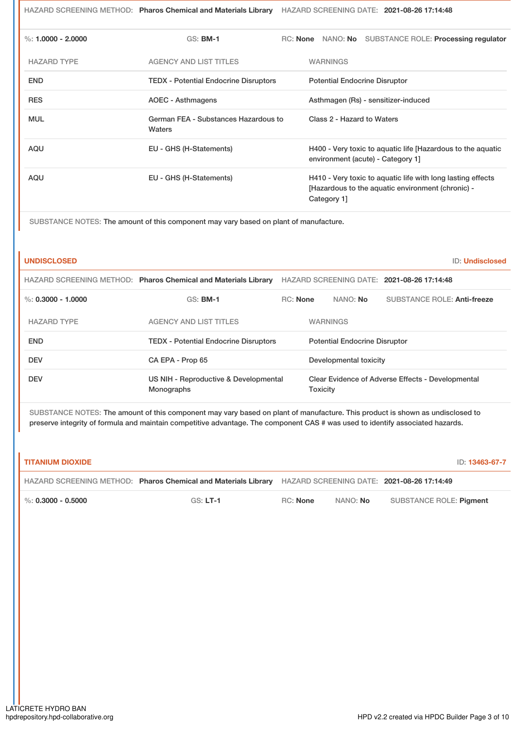HAZARD SCREENING METHOD: **Pharos Chemical and Materials Library** HAZARD SCREENING DATE: **2021-08-26 17:14:48**

| %: $1.0000 - 2.0000$ | $GS:$ BM-1                                     | RC: None |                            | NANO: No SUBSTANCE ROLE: Processing regulator                                                                    |
|----------------------|------------------------------------------------|----------|----------------------------|------------------------------------------------------------------------------------------------------------------|
| <b>HAZARD TYPE</b>   | <b>AGENCY AND LIST TITLES</b>                  |          | <b>WARNINGS</b>            |                                                                                                                  |
| <b>END</b>           | <b>TEDX</b> - Potential Endocrine Disruptors   |          |                            | <b>Potential Endocrine Disruptor</b>                                                                             |
| <b>RES</b>           | AOEC - Asthmagens                              |          |                            | Asthmagen (Rs) - sensitizer-induced                                                                              |
| <b>MUL</b>           | German FEA - Substances Hazardous to<br>Waters |          | Class 2 - Hazard to Waters |                                                                                                                  |
| AQU                  | EU - GHS (H-Statements)                        |          |                            | H400 - Very toxic to aguatic life [Hazardous to the aguatic<br>environment (acute) - Category 1]                 |
| AQU                  | EU - GHS (H-Statements)                        |          | Category 1                 | H410 - Very toxic to aquatic life with long lasting effects<br>[Hazardous to the aquatic environment (chronic) - |

SUBSTANCE NOTES: The amount of this component may vary based on plant of manufacture.

| <b>UNDISCLOSED</b>     |                                                                |                 |                                      |                        |                                                   | ID: Undisclosed |
|------------------------|----------------------------------------------------------------|-----------------|--------------------------------------|------------------------|---------------------------------------------------|-----------------|
|                        | HAZARD SCREENING METHOD: Pharos Chemical and Materials Library |                 |                                      |                        | HAZARD SCREENING DATE: 2021-08-26 17:14:48        |                 |
| $\%$ : 0.3000 - 1.0000 | <b>GS: BM-1</b>                                                | <b>RC:</b> None |                                      | NANO: <b>No</b>        | SUBSTANCE ROLE: Anti-freeze                       |                 |
| <b>HAZARD TYPE</b>     | <b>AGENCY AND LIST TITLES</b>                                  |                 | <b>WARNINGS</b>                      |                        |                                                   |                 |
| <b>END</b>             | <b>TEDX - Potential Endocrine Disruptors</b>                   |                 | <b>Potential Endocrine Disruptor</b> |                        |                                                   |                 |
| <b>DEV</b>             | CA EPA - Prop 65                                               |                 |                                      | Developmental toxicity |                                                   |                 |
| <b>DEV</b>             | US NIH - Reproductive & Developmental<br>Monographs            |                 | <b>Toxicity</b>                      |                        | Clear Evidence of Adverse Effects - Developmental |                 |

SUBSTANCE NOTES: The amount of this component may vary based on plant of manufacture. This product is shown as undisclosed to preserve integrity of formula and maintain competitive advantage. The component CAS # was used to identify associated hazards.

### **TITANIUM DIOXIDE** ID: **13463-67-7**

|                      | HAZARD SCREENING METHOD: Pharos Chemical and Materials Library HAZARD SCREENING DATE: 2021-08-26 17:14:49 |          |          |                         |
|----------------------|-----------------------------------------------------------------------------------------------------------|----------|----------|-------------------------|
| %: $0.3000 - 0.5000$ | $GS: LT-1$                                                                                                | RC: None | NANO: No | SUBSTANCE ROLE: Pigment |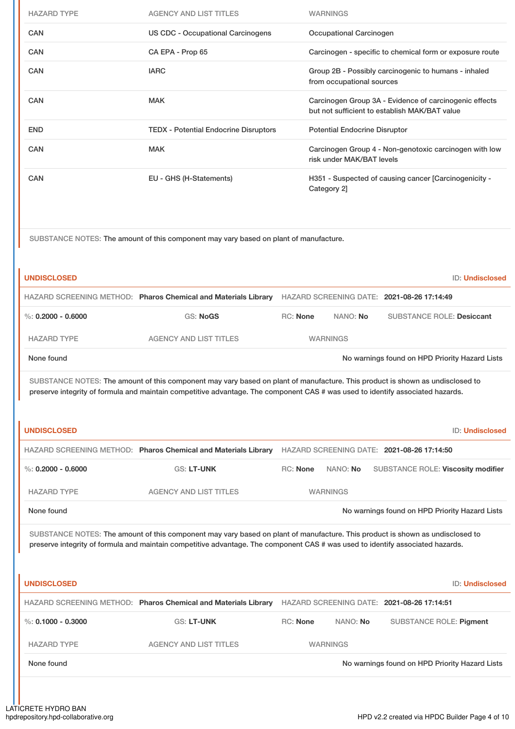| <b>HAZARD TYPE</b>   | <b>AGENCY AND LIST TITLES</b>                                                                                                                                                                                                                                   |                 | <b>WARNINGS</b>                                                                   |                                      |  |                                                                                                         |  |                        |
|----------------------|-----------------------------------------------------------------------------------------------------------------------------------------------------------------------------------------------------------------------------------------------------------------|-----------------|-----------------------------------------------------------------------------------|--------------------------------------|--|---------------------------------------------------------------------------------------------------------|--|------------------------|
| <b>CAN</b>           | <b>US CDC - Occupational Carcinogens</b>                                                                                                                                                                                                                        |                 |                                                                                   | Occupational Carcinogen              |  |                                                                                                         |  |                        |
| CAN                  | CA EPA - Prop 65                                                                                                                                                                                                                                                |                 |                                                                                   |                                      |  | Carcinogen - specific to chemical form or exposure route                                                |  |                        |
| CAN                  | <b>IARC</b>                                                                                                                                                                                                                                                     |                 | Group 2B - Possibly carcinogenic to humans - inhaled<br>from occupational sources |                                      |  |                                                                                                         |  |                        |
| CAN                  | <b>MAK</b>                                                                                                                                                                                                                                                      |                 |                                                                                   |                                      |  | Carcinogen Group 3A - Evidence of carcinogenic effects<br>but not sufficient to establish MAK/BAT value |  |                        |
| <b>END</b>           | <b>TEDX - Potential Endocrine Disruptors</b>                                                                                                                                                                                                                    |                 |                                                                                   | <b>Potential Endocrine Disruptor</b> |  |                                                                                                         |  |                        |
| <b>CAN</b>           | <b>MAK</b>                                                                                                                                                                                                                                                      |                 |                                                                                   | risk under MAK/BAT levels            |  | Carcinogen Group 4 - Non-genotoxic carcinogen with low                                                  |  |                        |
| CAN                  | EU - GHS (H-Statements)                                                                                                                                                                                                                                         |                 |                                                                                   | Category 2]                          |  | H351 - Suspected of causing cancer [Carcinogenicity -                                                   |  |                        |
|                      | SUBSTANCE NOTES: The amount of this component may vary based on plant of manufacture.                                                                                                                                                                           |                 |                                                                                   |                                      |  |                                                                                                         |  |                        |
| <b>UNDISCLOSED</b>   |                                                                                                                                                                                                                                                                 |                 |                                                                                   |                                      |  |                                                                                                         |  | <b>ID: Undisclosed</b> |
|                      | HAZARD SCREENING METHOD: Pharos Chemical and Materials Library                                                                                                                                                                                                  |                 |                                                                                   |                                      |  | HAZARD SCREENING DATE: 2021-08-26 17:14:49                                                              |  |                        |
| %: $0.2000 - 0.6000$ | <b>GS: NoGS</b>                                                                                                                                                                                                                                                 | <b>RC: None</b> |                                                                                   | NANO: No                             |  | <b>SUBSTANCE ROLE: Desiccant</b>                                                                        |  |                        |
| <b>HAZARD TYPE</b>   | <b>AGENCY AND LIST TITLES</b>                                                                                                                                                                                                                                   |                 |                                                                                   | <b>WARNINGS</b>                      |  |                                                                                                         |  |                        |
| None found           |                                                                                                                                                                                                                                                                 |                 |                                                                                   |                                      |  | No warnings found on HPD Priority Hazard Lists                                                          |  |                        |
|                      | SUBSTANCE NOTES: The amount of this component may vary based on plant of manufacture. This product is shown as undisclosed to<br>preserve integrity of formula and maintain competitive advantage. The component CAS # was used to identify associated hazards. |                 |                                                                                   |                                      |  |                                                                                                         |  |                        |
| <b>UNDISCLOSED</b>   |                                                                                                                                                                                                                                                                 |                 |                                                                                   |                                      |  |                                                                                                         |  | <b>ID: Undisclosed</b> |
|                      | HAZARD SCREENING METHOD: Pharos Chemical and Materials Library                                                                                                                                                                                                  |                 |                                                                                   |                                      |  | HAZARD SCREENING DATE: 2021-08-26 17:14:50                                                              |  |                        |
| %: $0.2000 - 0.6000$ | GS: LT-UNK                                                                                                                                                                                                                                                      | RC: None        |                                                                                   | NANO: No                             |  | SUBSTANCE ROLE: Viscosity modifier                                                                      |  |                        |
| <b>HAZARD TYPE</b>   | <b>AGENCY AND LIST TITLES</b>                                                                                                                                                                                                                                   |                 |                                                                                   | <b>WARNINGS</b>                      |  |                                                                                                         |  |                        |
| None found           |                                                                                                                                                                                                                                                                 |                 |                                                                                   |                                      |  | No warnings found on HPD Priority Hazard Lists                                                          |  |                        |
|                      | SUBSTANCE NOTES: The amount of this component may vary based on plant of manufacture. This product is shown as undisclosed to<br>preserve integrity of formula and maintain competitive advantage. The component CAS # was used to identify associated hazards. |                 |                                                                                   |                                      |  |                                                                                                         |  |                        |
| <b>UNDISCLOSED</b>   |                                                                                                                                                                                                                                                                 |                 |                                                                                   |                                      |  |                                                                                                         |  | <b>ID: Undisclosed</b> |
|                      | HAZARD SCREENING METHOD: Pharos Chemical and Materials Library                                                                                                                                                                                                  |                 |                                                                                   |                                      |  | HAZARD SCREENING DATE: 2021-08-26 17:14:51                                                              |  |                        |
| %: $0.1000 - 0.3000$ | <b>GS: LT-UNK</b>                                                                                                                                                                                                                                               | RC: None        |                                                                                   | NANO: No                             |  | <b>SUBSTANCE ROLE: Pigment</b>                                                                          |  |                        |
| <b>HAZARD TYPE</b>   | <b>AGENCY AND LIST TITLES</b>                                                                                                                                                                                                                                   |                 |                                                                                   | <b>WARNINGS</b>                      |  |                                                                                                         |  |                        |
| None found           |                                                                                                                                                                                                                                                                 |                 |                                                                                   |                                      |  | No warnings found on HPD Priority Hazard Lists                                                          |  |                        |
|                      |                                                                                                                                                                                                                                                                 |                 |                                                                                   |                                      |  |                                                                                                         |  |                        |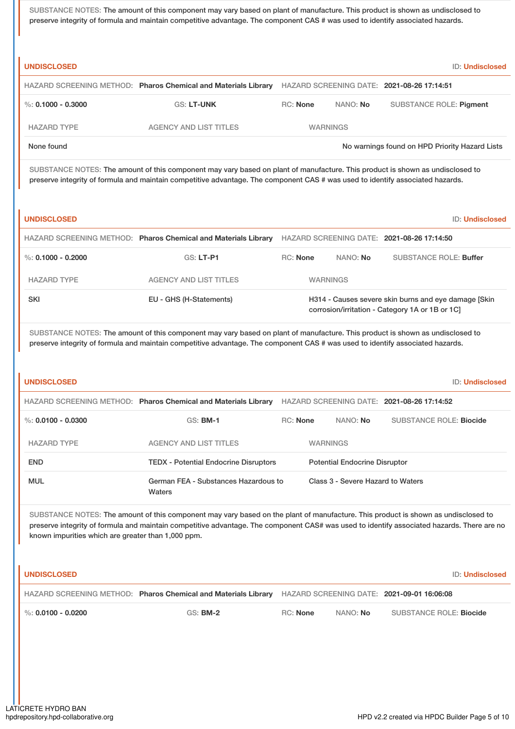SUBSTANCE NOTES: The amount of this component may vary based on plant of manufacture. This product is shown as undisclosed to preserve integrity of formula and maintain competitive advantage. The component CAS # was used to identify associated hazards.

| <b>UNDISCLOSED</b> |                                                                |                 |                 | <b>ID: Undisclosed</b>                         |
|--------------------|----------------------------------------------------------------|-----------------|-----------------|------------------------------------------------|
|                    | HAZARD SCREENING METHOD: Pharos Chemical and Materials Library |                 |                 | HAZARD SCREENING DATE: 2021-08-26 17:14:51     |
| %: 0.1000 - 0.3000 | <b>GS: LT-UNK</b>                                              | <b>RC:</b> None | NANO: <b>No</b> | SUBSTANCE ROLE: Pigment                        |
| <b>HAZARD TYPE</b> | <b>AGENCY AND LIST TITLES</b>                                  | <b>WARNINGS</b> |                 |                                                |
| None found         |                                                                |                 |                 | No warnings found on HPD Priority Hazard Lists |

SUBSTANCE NOTES: The amount of this component may vary based on plant of manufacture. This product is shown as undisclosed to preserve integrity of formula and maintain competitive advantage. The component CAS # was used to identify associated hazards.

| ٠. | ۰.<br>- 7<br>٠<br>× |  |
|----|---------------------|--|
|    |                     |  |

**UNDISCLOSED** ID: **Undisclosed**

|                    | HAZARD SCREENING METHOD: Pharos Chemical and Materials Library |                                                                                                         |                 | HAZARD SCREENING DATE: 2021-08-26 17:14:50 |
|--------------------|----------------------------------------------------------------|---------------------------------------------------------------------------------------------------------|-----------------|--------------------------------------------|
| %: 0.1000 - 0.2000 | $GS: LT-PI$                                                    | <b>RC:</b> None                                                                                         | NANO: No        | <b>SUBSTANCE ROLE: Buffer</b>              |
| <b>HAZARD TYPE</b> | <b>AGENCY AND LIST TITLES</b>                                  |                                                                                                         | <b>WARNINGS</b> |                                            |
| <b>SKI</b>         | EU - GHS (H-Statements)                                        | H314 - Causes severe skin burns and eye damage [Skin]<br>corrosion/irritation - Category 1A or 1B or 1C |                 |                                            |

SUBSTANCE NOTES: The amount of this component may vary based on plant of manufacture. This product is shown as undisclosed to preserve integrity of formula and maintain competitive advantage. The component CAS # was used to identify associated hazards.

| <b>UNDISCLOSED</b>   |                                                                |                 |                                            | <b>ID: Undisclosed</b>         |
|----------------------|----------------------------------------------------------------|-----------------|--------------------------------------------|--------------------------------|
|                      | HAZARD SCREENING METHOD: Pharos Chemical and Materials Library |                 | HAZARD SCREENING DATE: 2021-08-26 17:14:52 |                                |
| %: $0.0100 - 0.0300$ | $GS:$ BM-1                                                     | <b>RC:</b> None | NANO: <b>No</b>                            | <b>SUBSTANCE ROLE: Biocide</b> |
| <b>HAZARD TYPE</b>   | <b>AGENCY AND LIST TITLES</b>                                  |                 | <b>WARNINGS</b>                            |                                |
| <b>END</b>           | <b>TEDX - Potential Endocrine Disruptors</b>                   |                 | <b>Potential Endocrine Disruptor</b>       |                                |
| <b>MUL</b>           | German FEA - Substances Hazardous to<br>Waters                 |                 | Class 3 - Severe Hazard to Waters          |                                |

SUBSTANCE NOTES: The amount of this component may vary based on the plant of manufacture. This product is shown as undisclosed to preserve integrity of formula and maintain competitive advantage. The component CAS# was used to identify associated hazards. There are no known impurities which are greater than 1,000 ppm.

| I UNDISCLOSED                     |                                                                       |          |                 | <b>ID: Undisclosed</b>                     |
|-----------------------------------|-----------------------------------------------------------------------|----------|-----------------|--------------------------------------------|
|                                   | <b>HAZARD SCREENING METHOD: Pharos Chemical and Materials Library</b> |          |                 | HAZARD SCREENING DATE: 2021-09-01 16:06:08 |
| $\blacksquare$ %: 0.0100 - 0.0200 | <b>GS: BM-2</b>                                                       | RC: None | NANO: <b>No</b> | SUBSTANCE ROLE: Biocide                    |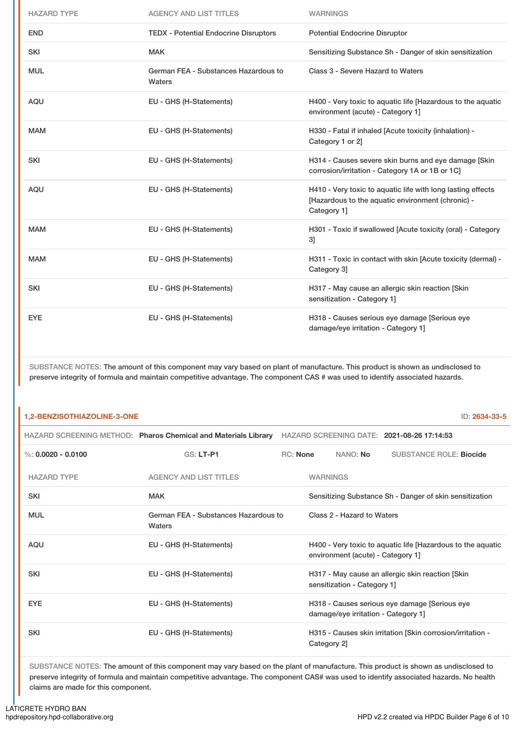| <b>HAZARD TYPE</b> | <b>AGENCY AND LIST TITLES</b>                  | <b>WARNINGS</b>                                                                                                                 |
|--------------------|------------------------------------------------|---------------------------------------------------------------------------------------------------------------------------------|
| <b>END</b>         | <b>TEDX - Potential Endocrine Disruptors</b>   | <b>Potential Endocrine Disruptor</b>                                                                                            |
| <b>SKI</b>         | <b>MAK</b>                                     | Sensitizing Substance Sh - Danger of skin sensitization                                                                         |
| <b>MUL</b>         | German FEA - Substances Hazardous to<br>Waters | Class 3 - Severe Hazard to Waters                                                                                               |
| <b>AQU</b>         | EU - GHS (H-Statements)                        | H400 - Very toxic to aquatic life [Hazardous to the aquatic<br>environment (acute) - Category 1]                                |
| <b>MAM</b>         | EU - GHS (H-Statements)                        | H330 - Fatal if inhaled [Acute toxicity (inhalation) -<br>Category 1 or 2]                                                      |
| <b>SKI</b>         | EU - GHS (H-Statements)                        | H314 - Causes severe skin burns and eye damage [Skin<br>corrosion/irritation - Category 1A or 1B or 1C]                         |
| <b>AQU</b>         | EU - GHS (H-Statements)                        | H410 - Very toxic to aquatic life with long lasting effects<br>[Hazardous to the aquatic environment (chronic) -<br>Category 1] |
| <b>MAM</b>         | EU - GHS (H-Statements)                        | H301 - Toxic if swallowed [Acute toxicity (oral) - Category<br>31                                                               |
| <b>MAM</b>         | EU - GHS (H-Statements)                        | H311 - Toxic in contact with skin [Acute toxicity (dermal) -<br>Category 31                                                     |
| <b>SKI</b>         | EU - GHS (H-Statements)                        | H317 - May cause an allergic skin reaction [Skin<br>sensitization - Category 1]                                                 |
| <b>EYE</b>         | EU - GHS (H-Statements)                        | H318 - Causes serious eye damage [Serious eye<br>damage/eye irritation - Category 1]                                            |

SUBSTANCE NOTES: The amount of this component may vary based on plant of manufacture. This product is shown as undisclosed to preserve integrity of formula and maintain competitive advantage. The component CAS # was used to identify associated hazards.

### **1,2-BENZISOTHIAZOLINE-3-ONE** ID: **2634-33-5**

|                      | HAZARD SCREENING METHOD: Pharos Chemical and Materials Library |            |                                                                                  |                                     | HAZARD SCREENING DATE: 2021-08-26 17:14:53                  |
|----------------------|----------------------------------------------------------------|------------|----------------------------------------------------------------------------------|-------------------------------------|-------------------------------------------------------------|
| %: $0.0020 - 0.0100$ | <b>GS: LT-P1</b>                                               | $RC:$ None |                                                                                  | NANO: No                            | <b>SUBSTANCE ROLE: Biocide</b>                              |
| <b>HAZARD TYPE</b>   | <b>AGENCY AND LIST TITLES</b>                                  |            | <b>WARNINGS</b>                                                                  |                                     |                                                             |
| <b>SKI</b>           | <b>MAK</b>                                                     |            |                                                                                  |                                     | Sensitizing Substance Sh - Danger of skin sensitization     |
| <b>MUL</b>           | German FEA - Substances Hazardous to<br>Waters                 |            |                                                                                  | Class 2 - Hazard to Waters          |                                                             |
| <b>AQU</b>           | EU - GHS (H-Statements)                                        |            |                                                                                  | environment (acute) - Category 1]   | H400 - Very toxic to aquatic life [Hazardous to the aquatic |
| <b>SKI</b>           | EU - GHS (H-Statements)                                        |            | H317 - May cause an allergic skin reaction [Skin]<br>sensitization - Category 1] |                                     |                                                             |
| <b>EYE</b>           | EU - GHS (H-Statements)                                        |            |                                                                                  | damage/eye irritation - Category 1] | H318 - Causes serious eye damage [Serious eye               |
| <b>SKI</b>           | EU - GHS (H-Statements)                                        |            | Category 2]                                                                      |                                     | H315 - Causes skin irritation [Skin corrosion/irritation -  |

SUBSTANCE NOTES: The amount of this component may vary based on the plant of manufacture. This product is shown as undisclosed to preserve integrity of formula and maintain competitive advantage. The component CAS# was used to identify associated hazards. No health claims are made for this component.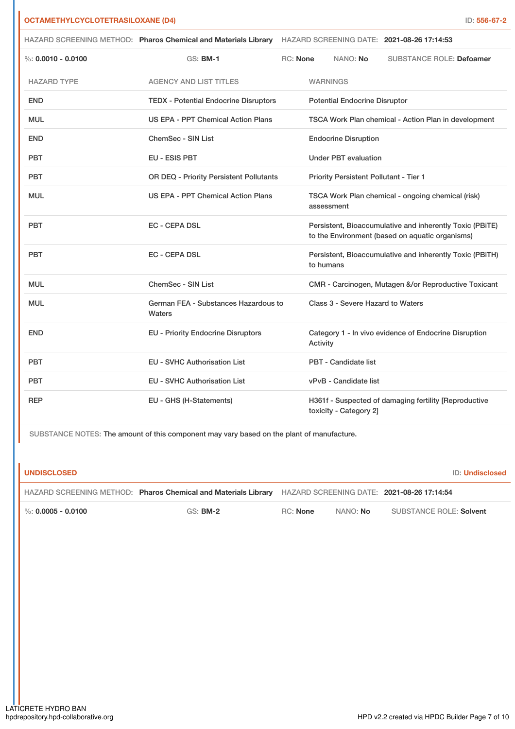| <b>OCTAMETHYLCYCLOTETRASILOXANE (D4)</b> |                                                                                                           |                                         |                                                                                                             |                                                      |                                                       | ID: 556-67-2 |
|------------------------------------------|-----------------------------------------------------------------------------------------------------------|-----------------------------------------|-------------------------------------------------------------------------------------------------------------|------------------------------------------------------|-------------------------------------------------------|--------------|
|                                          | HAZARD SCREENING METHOD: Pharos Chemical and Materials Library HAZARD SCREENING DATE: 2021-08-26 17:14:53 |                                         |                                                                                                             |                                                      |                                                       |              |
| $\%$ : 0.0010 - 0.0100                   | <b>GS: BM-1</b>                                                                                           | RC: None                                |                                                                                                             | NANO: No                                             | <b>SUBSTANCE ROLE: Defoamer</b>                       |              |
| <b>HAZARD TYPE</b>                       | <b>AGENCY AND LIST TITLES</b>                                                                             |                                         | <b>WARNINGS</b>                                                                                             |                                                      |                                                       |              |
| <b>END</b>                               | <b>TEDX - Potential Endocrine Disruptors</b>                                                              |                                         | <b>Potential Endocrine Disruptor</b>                                                                        |                                                      |                                                       |              |
| <b>MUL</b>                               | US EPA - PPT Chemical Action Plans                                                                        |                                         |                                                                                                             | TSCA Work Plan chemical - Action Plan in development |                                                       |              |
| <b>END</b>                               | ChemSec - SIN List                                                                                        |                                         |                                                                                                             | <b>Endocrine Disruption</b>                          |                                                       |              |
| <b>PBT</b>                               | <b>EU - ESIS PBT</b>                                                                                      |                                         | <b>Under PBT evaluation</b>                                                                                 |                                                      |                                                       |              |
| <b>PBT</b>                               |                                                                                                           | OR DEQ - Priority Persistent Pollutants |                                                                                                             | Priority Persistent Pollutant - Tier 1               |                                                       |              |
| <b>MUL</b>                               | US EPA - PPT Chemical Action Plans                                                                        |                                         | TSCA Work Plan chemical - ongoing chemical (risk)<br>assessment                                             |                                                      |                                                       |              |
| <b>PBT</b>                               | <b>EC - CEPA DSL</b>                                                                                      |                                         | Persistent, Bioaccumulative and inherently Toxic (PBITE)<br>to the Environment (based on aquatic organisms) |                                                      |                                                       |              |
| <b>PBT</b>                               | <b>EC - CEPA DSL</b>                                                                                      |                                         | Persistent, Bioaccumulative and inherently Toxic (PBiTH)<br>to humans                                       |                                                      |                                                       |              |
| <b>MUL</b>                               | <b>ChemSec - SIN List</b>                                                                                 |                                         | CMR - Carcinogen, Mutagen &/or Reproductive Toxicant                                                        |                                                      |                                                       |              |
| <b>MUL</b>                               | German FEA - Substances Hazardous to<br>Waters                                                            |                                         | Class 3 - Severe Hazard to Waters                                                                           |                                                      |                                                       |              |
| <b>END</b>                               | <b>EU - Priority Endocrine Disruptors</b>                                                                 |                                         | Category 1 - In vivo evidence of Endocrine Disruption<br>Activity                                           |                                                      |                                                       |              |
| <b>PBT</b>                               | <b>EU - SVHC Authorisation List</b>                                                                       |                                         | <b>PBT - Candidate list</b>                                                                                 |                                                      |                                                       |              |
| <b>PBT</b>                               | <b>EU - SVHC Authorisation List</b>                                                                       |                                         | vPvB - Candidate list                                                                                       |                                                      |                                                       |              |
| <b>REP</b>                               | EU - GHS (H-Statements)                                                                                   |                                         |                                                                                                             | toxicity - Category 2]                               | H361f - Suspected of damaging fertility [Reproductive |              |

SUBSTANCE NOTES: The amount of this component may vary based on the plant of manufacture.

**UNDISCLOSED** ID: **Undisclosed**

|                        | HAZARD SCREENING METHOD: Pharos Chemical and Materials Library HAZARD SCREENING DATE: 2021-08-26 17:14:54 |          |          |                         |
|------------------------|-----------------------------------------------------------------------------------------------------------|----------|----------|-------------------------|
| $\%$ : 0.0005 - 0.0100 | GS: <b>BM-2</b>                                                                                           | RC: None | NANO: No | SUBSTANCE ROLE: Solvent |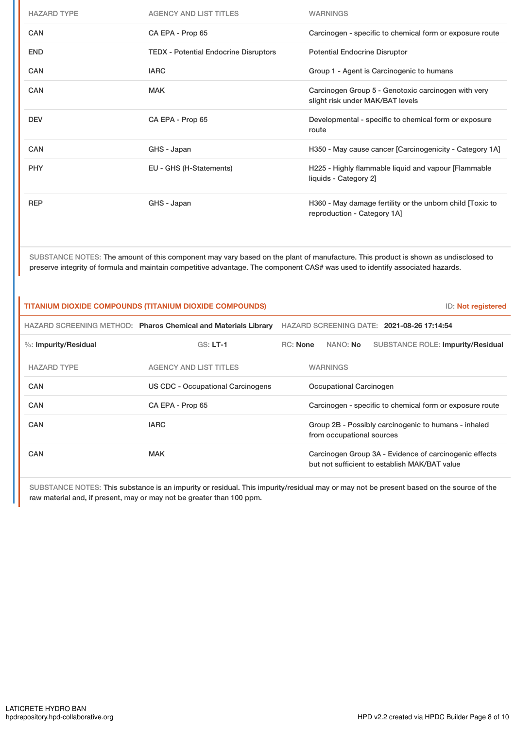| <b>HAZARD TYPE</b> | <b>AGENCY AND LIST TITLES</b>                | <b>WARNINGS</b>                                                                          |
|--------------------|----------------------------------------------|------------------------------------------------------------------------------------------|
| <b>CAN</b>         | CA EPA - Prop 65                             | Carcinogen - specific to chemical form or exposure route                                 |
| <b>END</b>         | <b>TEDX - Potential Endocrine Disruptors</b> | <b>Potential Endocrine Disruptor</b>                                                     |
| <b>CAN</b>         | <b>IARC</b>                                  | Group 1 - Agent is Carcinogenic to humans                                                |
| CAN                | <b>MAK</b>                                   | Carcinogen Group 5 - Genotoxic carcinogen with very<br>slight risk under MAK/BAT levels  |
| <b>DEV</b>         | CA EPA - Prop 65                             | Developmental - specific to chemical form or exposure<br>route                           |
| <b>CAN</b>         | GHS - Japan                                  | H350 - May cause cancer [Carcinogenicity - Category 1A]                                  |
| <b>PHY</b>         | EU - GHS (H-Statements)                      | H225 - Highly flammable liquid and vapour [Flammable]<br>liquids - Category 2]           |
| <b>REP</b>         | GHS - Japan                                  | H360 - May damage fertility or the unborn child [Toxic to<br>reproduction - Category 1A] |

SUBSTANCE NOTES: The amount of this component may vary based on the plant of manufacture. This product is shown as undisclosed to preserve integrity of formula and maintain competitive advantage. The component CAS# was used to identify associated hazards.

| <b>TITANIUM DIOXIDE COMPOUNDS (TITANIUM DIOXIDE COMPOUNDS)</b><br>ID: Not registered |                                                                |                                                                                                         |  |  |
|--------------------------------------------------------------------------------------|----------------------------------------------------------------|---------------------------------------------------------------------------------------------------------|--|--|
|                                                                                      | HAZARD SCREENING METHOD: Pharos Chemical and Materials Library | HAZARD SCREENING DATE: 2021-08-26 17:14:54                                                              |  |  |
| $\%$ : Impurity/Residual                                                             | $GS: LT-1$                                                     | <b>RC:</b> None<br>NANO: No<br><b>SUBSTANCE ROLE: Impurity/Residual</b>                                 |  |  |
| <b>HAZARD TYPE</b>                                                                   | <b>AGENCY AND LIST TITLES</b>                                  | <b>WARNINGS</b>                                                                                         |  |  |
| <b>CAN</b>                                                                           | US CDC - Occupational Carcinogens                              | Occupational Carcinogen                                                                                 |  |  |
| <b>CAN</b>                                                                           | CA EPA - Prop 65                                               | Carcinogen - specific to chemical form or exposure route                                                |  |  |
| CAN                                                                                  | <b>IARC</b>                                                    | Group 2B - Possibly carcinogenic to humans - inhaled<br>from occupational sources                       |  |  |
| <b>CAN</b>                                                                           | <b>MAK</b>                                                     | Carcinogen Group 3A - Evidence of carcinogenic effects<br>but not sufficient to establish MAK/BAT value |  |  |

SUBSTANCE NOTES: This substance is an impurity or residual. This impurity/residual may or may not be present based on the source of the raw material and, if present, may or may not be greater than 100 ppm.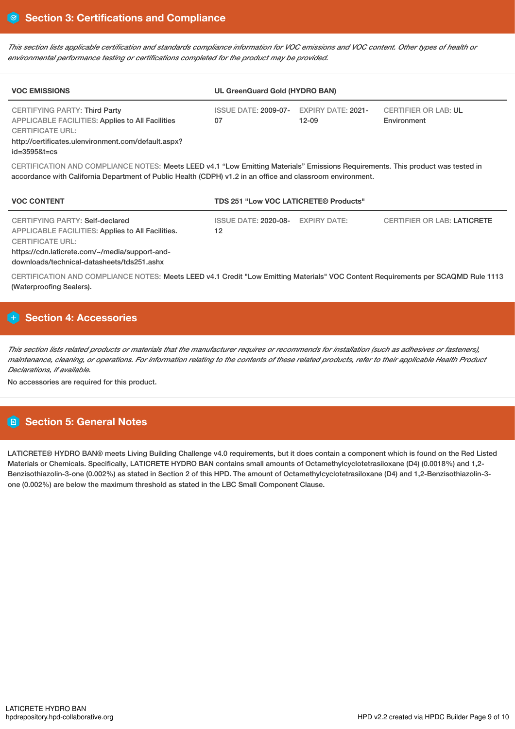This section lists applicable certification and standards compliance information for VOC emissions and VOC content. Other types of health or *environmental performance testing or certifications completed for the product may be provided.*

| <b>VOC EMISSIONS</b>                                                                                                                                                              | UL GreenGuard Gold (HYDRO BAN)                |            |                                            |  |  |
|-----------------------------------------------------------------------------------------------------------------------------------------------------------------------------------|-----------------------------------------------|------------|--------------------------------------------|--|--|
| <b>CERTIFYING PARTY: Third Party</b><br><b>APPLICABLE FACILITIES: Applies to All Facilities</b><br><b>CERTIFICATE URL:</b><br>http://certificates.ulenvironment.com/default.aspx? | ISSUE DATE: 2009-07- EXPIRY DATE: 2021-<br>07 | $12 - 0.9$ | <b>CERTIFIER OR LAB: UL</b><br>Environment |  |  |
| $id = 35958t = cs$                                                                                                                                                                |                                               |            |                                            |  |  |

CERTIFICATION AND COMPLIANCE NOTES: Meets LEED v4.1 "Low Emitting Materials" Emissions Requirements. This product was tested in accordance with California Department of Public Health (CDPH) v1.2 in an office and classroom environment.

| <b>VOC CONTENT</b>                                                                                                                                                                                              | TDS 251 "Low VOC LATICRETE® Products"   |  |                                    |  |  |
|-----------------------------------------------------------------------------------------------------------------------------------------------------------------------------------------------------------------|-----------------------------------------|--|------------------------------------|--|--|
| CERTIFYING PARTY: Self-declared<br>APPLICABLE FACILITIES: Applies to All Facilities.<br><b>CERTIFICATE URL:</b><br>https://cdn.laticrete.com/~/media/support-and-<br>downloads/technical-datasheets/tds251.ashx | ISSUE DATE: 2020-08- EXPIRY DATE:<br>12 |  | <b>CERTIFIER OR LAB: LATICRETE</b> |  |  |

CERTIFICATION AND COMPLIANCE NOTES: Meets LEED v4.1 Credit "Low Emitting Materials" VOC Content Requirements per SCAQMD Rule 1113 (Waterproofing Sealers).

# **Section 4: Accessories**

This section lists related products or materials that the manufacturer requires or recommends for installation (such as adhesives or fasteners), maintenance, cleaning, or operations. For information relating to the contents of these related products, refer to their applicable Health Product *Declarations, if available.*

No accessories are required for this product.

# **Section 5: General Notes**

LATICRETE® HYDRO BAN® meets Living Building Challenge v4.0 requirements, but it does contain a component which is found on the Red Listed Materials or Chemicals. Specifically, LATICRETE HYDRO BAN contains small amounts of Octamethylcyclotetrasiloxane (D4) (0.0018%) and 1,2-Benzisothiazolin-3-one (0.002%) as stated in Section 2 of this HPD. The amount of Octamethylcyclotetrasiloxane (D4) and 1,2-Benzisothiazolin-3one (0.002%) are below the maximum threshold as stated in the LBC Small Component Clause.